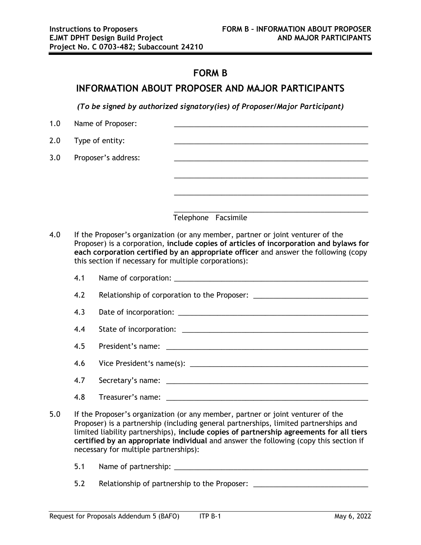## **FORM B**

## **INFORMATION ABOUT PROPOSER AND MAJOR PARTICIPANTS**

*(To be signed by authorized signatory(ies) of Proposer/Major Participant)*

| 1.0 | Name of Proposer:   |                     |
|-----|---------------------|---------------------|
| 2.0 | Type of entity:     |                     |
| 3.0 | Proposer's address: |                     |
|     |                     |                     |
|     |                     |                     |
|     |                     |                     |
|     |                     | Telephone Facsimile |
|     |                     |                     |

4.0 If the Proposer's organization (or any member, partner or joint venturer of the Proposer) is a corporation, **include copies of articles of incorporation and bylaws for each corporation certified by an appropriate officer** and answer the following (copy this section if necessary for multiple corporations):

| 4.1 | Name of corporation: |  |
|-----|----------------------|--|
|     |                      |  |
|     |                      |  |

4.2 Relationship of corporation to the Proposer: \_\_\_\_\_\_\_\_\_\_\_\_\_\_\_\_\_\_\_\_\_\_\_\_\_\_\_\_\_\_\_

4.3 Date of incorporation: \_\_\_\_\_\_\_\_\_\_\_\_\_\_\_\_\_\_\_\_\_\_\_\_\_\_\_\_\_\_\_\_\_\_\_\_\_\_\_\_\_\_\_\_\_\_\_\_

4.4 State of incorporation: \_\_\_\_\_\_\_\_\_\_\_\_\_\_\_\_\_\_\_\_\_\_\_\_\_\_\_\_\_\_\_\_\_\_\_\_\_\_\_\_\_\_\_\_\_\_\_

4.5 President's name: \_\_\_\_\_\_\_\_\_\_\_\_\_\_\_\_\_\_\_\_\_\_\_\_\_\_\_\_\_\_\_\_\_\_\_\_\_\_\_\_\_\_\_\_\_\_\_\_\_\_\_

4.6 Vice President's name(s): \_\_\_\_\_\_\_\_\_\_\_\_\_\_\_\_\_\_\_\_\_\_\_\_\_\_\_\_\_\_\_\_\_\_\_\_\_\_\_\_\_\_\_\_\_

- 4.7 Secretary's name: \_\_\_\_\_\_\_\_\_\_\_\_\_\_\_\_\_\_\_\_\_\_\_\_\_\_\_\_\_\_\_\_\_\_\_\_\_\_\_\_\_\_\_\_\_\_\_\_\_\_\_
- 4.8 Treasurer's name:
- 5.0 If the Proposer's organization (or any member, partner or joint venturer of the Proposer) is a partnership (including general partnerships, limited partnerships and limited liability partnerships), **include copies of partnership agreements for all tiers certified by an appropriate individual** and answer the following (copy this section if necessary for multiple partnerships):
	- 5.1 Name of partnership: \_\_\_\_\_\_\_\_\_\_\_\_\_\_\_\_\_\_\_\_\_\_\_\_\_\_\_\_\_\_\_\_\_\_\_\_\_\_\_\_\_\_\_\_\_\_\_\_\_

5.2 Relationship of partnership to the Proposer: \_\_\_\_\_\_\_\_\_\_\_\_\_\_\_\_\_\_\_\_\_\_\_\_\_\_\_\_\_\_\_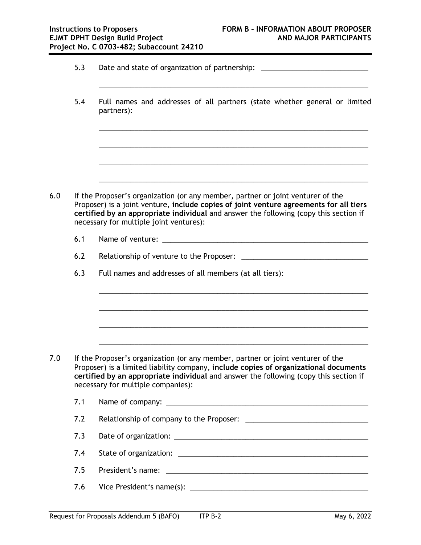- 5.3 Date and state of organization of partnership: \_\_\_\_\_\_\_\_\_\_\_\_\_\_\_\_\_\_\_\_\_\_\_\_\_\_\_\_\_
- 5.4 Full names and addresses of all partners (state whether general or limited partners):

\_\_\_\_\_\_\_\_\_\_\_\_\_\_\_\_\_\_\_\_\_\_\_\_\_\_\_\_\_\_\_\_\_\_\_\_\_\_\_\_\_\_\_\_\_\_\_\_\_\_\_\_\_\_\_\_\_\_\_\_\_\_\_\_\_\_\_\_

\_\_\_\_\_\_\_\_\_\_\_\_\_\_\_\_\_\_\_\_\_\_\_\_\_\_\_\_\_\_\_\_\_\_\_\_\_\_\_\_\_\_\_\_\_\_\_\_\_\_\_\_\_\_\_\_\_\_\_\_\_\_\_\_\_\_\_\_

\_\_\_\_\_\_\_\_\_\_\_\_\_\_\_\_\_\_\_\_\_\_\_\_\_\_\_\_\_\_\_\_\_\_\_\_\_\_\_\_\_\_\_\_\_\_\_\_\_\_\_\_\_\_\_\_\_\_\_\_\_\_\_\_\_\_\_\_

\_\_\_\_\_\_\_\_\_\_\_\_\_\_\_\_\_\_\_\_\_\_\_\_\_\_\_\_\_\_\_\_\_\_\_\_\_\_\_\_\_\_\_\_\_\_\_\_\_\_\_\_\_\_\_\_\_\_\_\_\_\_\_\_\_\_\_\_

\_\_\_\_\_\_\_\_\_\_\_\_\_\_\_\_\_\_\_\_\_\_\_\_\_\_\_\_\_\_\_\_\_\_\_\_\_\_\_\_\_\_\_\_\_\_\_\_\_\_\_\_\_\_\_\_\_\_\_\_\_\_\_\_\_\_\_\_

- 6.0 If the Proposer's organization (or any member, partner or joint venturer of the Proposer) is a joint venture, **include copies of joint venture agreements for all tiers certified by an appropriate individual** and answer the following (copy this section if necessary for multiple joint ventures):
	- 6.1 Name of venture:
	- 6.2 Relationship of venture to the Proposer: \_\_\_\_\_\_\_\_\_\_\_\_\_\_\_\_\_\_\_\_\_\_\_\_\_\_\_\_\_\_\_\_\_\_\_

\_\_\_\_\_\_\_\_\_\_\_\_\_\_\_\_\_\_\_\_\_\_\_\_\_\_\_\_\_\_\_\_\_\_\_\_\_\_\_\_\_\_\_\_\_\_\_\_\_\_\_\_\_\_\_\_\_\_\_\_\_\_\_\_\_\_\_\_

\_\_\_\_\_\_\_\_\_\_\_\_\_\_\_\_\_\_\_\_\_\_\_\_\_\_\_\_\_\_\_\_\_\_\_\_\_\_\_\_\_\_\_\_\_\_\_\_\_\_\_\_\_\_\_\_\_\_\_\_\_\_\_\_\_\_\_\_

\_\_\_\_\_\_\_\_\_\_\_\_\_\_\_\_\_\_\_\_\_\_\_\_\_\_\_\_\_\_\_\_\_\_\_\_\_\_\_\_\_\_\_\_\_\_\_\_\_\_\_\_\_\_\_\_\_\_\_\_\_\_\_\_\_\_\_\_

\_\_\_\_\_\_\_\_\_\_\_\_\_\_\_\_\_\_\_\_\_\_\_\_\_\_\_\_\_\_\_\_\_\_\_\_\_\_\_\_\_\_\_\_\_\_\_\_\_\_\_\_\_\_\_\_\_\_\_\_\_\_\_\_\_\_\_\_

6.3 Full names and addresses of all members (at all tiers):

- 7.0 If the Proposer's organization (or any member, partner or joint venturer of the Proposer) is a limited liability company, **include copies of organizational documents certified by an appropriate individual** and answer the following (copy this section if necessary for multiple companies):
	- 7.1 Name of company:
	- 7.2 Relationship of company to the Proposer: \_\_\_\_\_\_\_\_\_\_\_\_\_\_\_\_\_\_\_\_\_\_\_\_\_\_\_\_\_\_\_\_\_\_\_
	- 7.3 Date of organization: \_\_\_\_\_\_\_\_\_\_\_\_\_\_\_\_\_\_\_\_\_\_\_\_\_\_\_\_\_\_\_\_\_\_\_\_\_\_\_\_\_\_\_\_\_\_\_\_\_
	- 7.4 State of organization: \_\_\_\_\_\_\_\_\_\_\_\_\_\_\_\_\_\_\_\_\_\_\_\_\_\_\_\_\_\_\_\_\_\_\_\_\_\_\_\_\_\_\_\_\_\_\_\_
	- 7.5 President's name:  $\blacksquare$
	- 7.6 Vice President's name(s): \_\_\_\_\_\_\_\_\_\_\_\_\_\_\_\_\_\_\_\_\_\_\_\_\_\_\_\_\_\_\_\_\_\_\_\_\_\_\_\_\_\_\_\_\_